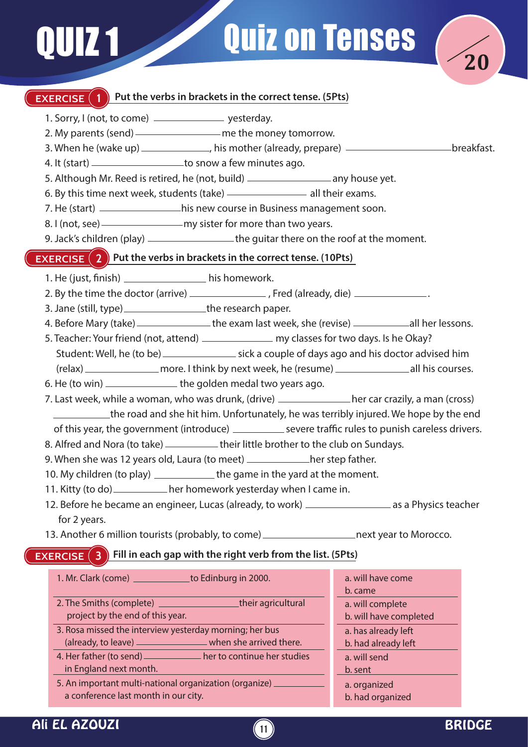# **Quiz on Tenses**



### **EXERCISE** (1) Put the verbs in brackets in the correct tense. (5Pts)

- 1. Sorry, I (not, to come) \_\_\_\_\_\_\_\_\_\_\_\_\_\_\_\_ yesterday.
- 2. My parents (send) <u>entitled</u> me the money tomorrow.
- 3. When he (wake up) \_\_\_\_\_\_\_\_\_\_\_\_\_, his mother (already, prepare) \_\_\_\_\_\_\_\_\_\_\_\_\_\_\_\_\_\_\_\_\_\_\_\_\_breakfast.
- 4. It (start) \_\_\_\_\_\_\_\_\_\_\_\_\_\_\_\_\_\_\_\_\_\_\_to snow a few minutes ago.
- 5. Although Mr. Reed is retired, he (not, build) \_\_\_\_\_\_\_\_\_\_\_\_\_\_\_\_\_\_\_\_\_\_\_\_\_ any house yet.
- 6. By this time next week, students (take)  $-$  all their exams.
- 7. He (start) \_\_\_\_\_\_\_\_\_\_\_\_\_\_\_\_\_\_\_his new course in Business management soon.
- 8. I (not, see) my sister for more than two years.
- 9. Jack's children (play) \_\_\_\_\_\_\_\_\_\_\_\_\_\_\_\_\_\_\_the guitar there on the roof at the moment.

#### **EXERCISE (2)** Put the verbs in brackets in the correct tense. (10Pts)

- 1. He (just, finish) his homework.
- 2. By the time the doctor (arrive) \_\_\_\_\_\_\_\_\_\_\_\_\_\_\_\_, Fred (already, die) \_\_\_\_\_\_\_\_\_\_\_\_\_\_.
- 3. Jane (still, type) \_\_\_\_\_\_\_\_\_\_\_\_\_\_\_\_\_\_\_the research paper.
- 4. Before Mary (take) \_\_\_\_\_\_\_\_\_\_\_\_\_\_\_ the exam last week, she (revise) \_\_\_\_\_\_\_\_\_\_\_\_\_ all her lessons.
- 5. Teacher: Your friend (not, attend) \_\_\_\_\_\_\_\_\_\_\_\_\_\_\_ my classes for two days. Is he Okay?
- Student: Well, he (to be) sick a couple of days ago and his doctor advised him
- (relax) more. I think by next week, he (resume) all his courses.
- 6. He (to win) \_\_\_\_\_\_\_\_\_\_\_\_\_\_\_\_ the golden medal two years ago.
- 7. Last week, while a woman, who was drunk, (drive) \_\_\_\_\_\_\_\_\_\_\_\_\_\_\_her car crazily, a man (cross) the road and she hit him. Unfortunately, he was terribly injured. We hope by the end of this year, the government (introduce) \_\_\_\_\_\_\_\_\_\_\_ severe traffic rules to punish careless drivers.
- 8. Alfred and Nora (to take) \_\_\_\_\_\_\_\_\_\_\_ their little brother to the club on Sundays.
- 9. When she was 12 years old, Laura (to meet) \_\_\_\_\_\_\_\_\_\_her step father.
- 10. My children (to play) \_\_\_\_\_\_\_\_\_\_\_\_\_ the game in the yard at the moment.
- 11. Kitty (to do) \_\_\_\_\_\_\_\_\_\_\_ her homework yesterday when I came in.
- 12. Before he became an engineer, Lucas (already, to work) \_\_\_\_\_\_\_\_\_\_\_\_\_\_\_\_\_\_\_ as a Physics teacher for 2 years.
- 13. Another 6 million tourists (probably, to come) \_\_\_\_\_\_\_\_\_\_\_\_\_\_\_\_\_\_\_\_\_\_next year to Morocco.

## **EXERCISE** (3) Fill in each gap with the right verb from the list. (5Pts)

- 1. Mr. Clark (come) to Edinburg in 2000. 2. The Smiths (complete) **their agricultural**  project by the end of this year. 3. Rosa missed the interview yesterday morning; her bus (already, to leave) when she arrived there. 4. Her father (to send) \_\_\_\_\_\_\_\_\_\_\_\_ her to continue her studies in England next month. 5. An important multi-national organization (organize) a. will have come b. came a. will complete b. will have completed a. has already left b. had already left a. will send b. sent a. organized
	- a conference last month in our city.
- Ali EL AZOUZI **<sup>11</sup>** BRIDGE

b. had organized